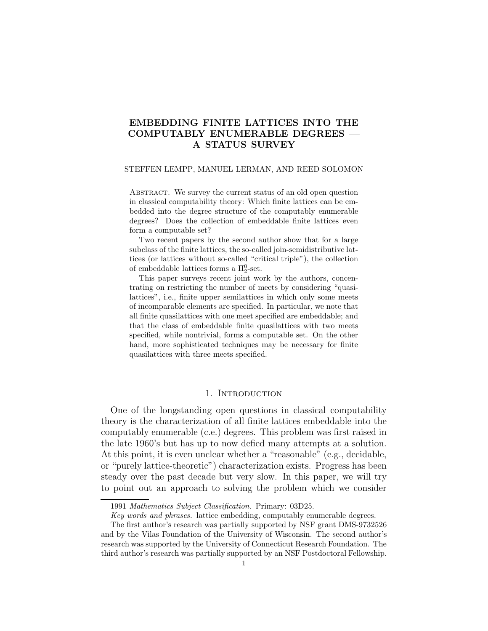# EMBEDDING FINITE LATTICES INTO THE COMPUTABLY ENUMERABLE DEGREES — A STATUS SURVEY

#### STEFFEN LEMPP, MANUEL LERMAN, AND REED SOLOMON

ABSTRACT. We survey the current status of an old open question in classical computability theory: Which finite lattices can be embedded into the degree structure of the computably enumerable degrees? Does the collection of embeddable finite lattices even form a computable set?

Two recent papers by the second author show that for a large subclass of the finite lattices, the so-called join-semidistributive lattices (or lattices without so-called "critical triple"), the collection of embeddable lattices forms a  $\Pi_2^0$ -set.

This paper surveys recent joint work by the authors, concentrating on restricting the number of meets by considering "quasilattices", i.e., finite upper semilattices in which only some meets of incomparable elements are specified. In particular, we note that all finite quasilattices with one meet specified are embeddable; and that the class of embeddable finite quasilattices with two meets specified, while nontrivial, forms a computable set. On the other hand, more sophisticated techniques may be necessary for finite quasilattices with three meets specified.

## 1. Introduction

One of the longstanding open questions in classical computability theory is the characterization of all finite lattices embeddable into the computably enumerable (c.e.) degrees. This problem was first raised in the late 1960's but has up to now defied many attempts at a solution. At this point, it is even unclear whether a "reasonable" (e.g., decidable, or "purely lattice-theoretic") characterization exists. Progress has been steady over the past decade but very slow. In this paper, we will try to point out an approach to solving the problem which we consider

<sup>1991</sup> Mathematics Subject Classification. Primary: 03D25.

Key words and phrases. lattice embedding, computably enumerable degrees.

The first author's research was partially supported by NSF grant DMS-9732526 and by the Vilas Foundation of the University of Wisconsin. The second author's research was supported by the University of Connecticut Research Foundation. The third author's research was partially supported by an NSF Postdoctoral Fellowship.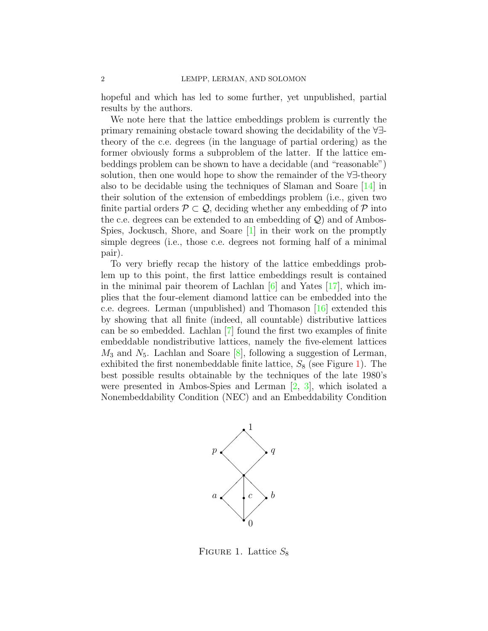hopeful and which has led to some further, yet unpublished, partial results by the authors.

We note here that the lattice embeddings problem is currently the primary remaining obstacle toward showing the decidability of the ∀∃ theory of the c.e. degrees (in the language of partial ordering) as the former obviously forms a subproblem of the latter. If the lattice embeddings problem can be shown to have a decidable (and "reasonable") solution, then one would hope to show the remainder of the ∀∃-theory also to be decidable using the techniques of Slaman and Soare [\[14\]](#page-24-0) in their solution of the extension of embeddings problem (i.e., given two finite partial orders  $\mathcal{P} \subset \mathcal{Q}$ , deciding whether any embedding of  $\mathcal{P}$  into the c.e. degrees can be extended to an embedding of  $\mathcal{Q}$ ) and of Ambos-Spies, Jockusch, Shore, and Soare [\[1\]](#page-24-1) in their work on the promptly simple degrees (i.e., those c.e. degrees not forming half of a minimal pair).

To very briefly recap the history of the lattice embeddings problem up to this point, the first lattice embeddings result is contained in the minimal pair theorem of Lachlan  $[6]$  and Yates  $[17]$ , which implies that the four-element diamond lattice can be embedded into the c.e. degrees. Lerman (unpublished) and Thomason [\[16\]](#page-25-1) extended this by showing that all finite (indeed, all countable) distributive lattices can be so embedded. Lachlan [\[7\]](#page-24-3) found the first two examples of finite embeddable nondistributive lattices, namely the five-element lattices  $M_3$  and  $N_5$ . Lachlan and Soare [\[8\]](#page-24-4), following a suggestion of Lerman, exhibited the first nonembeddable finite lattice,  $S_8$  (see Figure [1\)](#page-1-0). The best possible results obtainable by the techniques of the late 1980's were presented in Ambos-Spies and Lerman [\[2,](#page-24-5) [3\]](#page-24-6), which isolated a Nonembeddability Condition (NEC) and an Embeddability Condition



<span id="page-1-0"></span>FIGURE 1. Lattice  $S_8$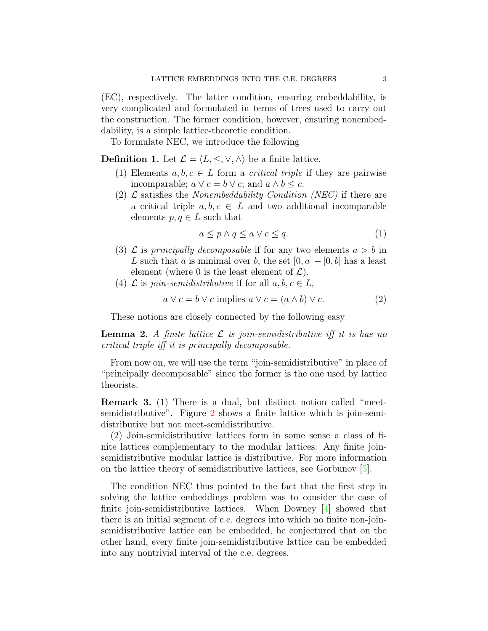(EC), respectively. The latter condition, ensuring embeddability, is very complicated and formulated in terms of trees used to carry out the construction. The former condition, however, ensuring nonembeddability, is a simple lattice-theoretic condition.

To formulate NEC, we introduce the following

**Definition 1.** Let  $\mathcal{L} = \langle L, \leq, \vee, \wedge \rangle$  be a finite lattice.

- (1) Elements  $a, b, c \in L$  form a *critical triple* if they are pairwise incomparable;  $a \lor c = b \lor c$ ; and  $a \land b \leq c$ .
- (2)  $\mathcal{L}$  satisfies the *Nonembeddability Condition (NEC)* if there are a critical triple  $a, b, c \in L$  and two additional incomparable elements  $p, q \in L$  such that

$$
a \le p \land q \le a \lor c \le q. \tag{1}
$$

- (3)  $\mathcal L$  is principally decomposable if for any two elements  $a > b$  in L such that a is minimal over b, the set  $[0, a] - [0, b]$  has a least element (where 0 is the least element of  $\mathcal{L}$ ).
- (4)  $\mathcal L$  is join-semidistributive if for all  $a, b, c \in L$ ,

$$
a \lor c = b \lor c \text{ implies } a \lor c = (a \land b) \lor c. \tag{2}
$$

These notions are closely connected by the following easy

**Lemma 2.** A finite lattice  $\mathcal{L}$  is join-semidistributive iff it is has no critical triple iff it is principally decomposable.

From now on, we will use the term "join-semidistributive" in place of "principally decomposable" since the former is the one used by lattice theorists.

Remark 3. (1) There is a dual, but distinct notion called "meetsemidistributive". Figure [2](#page-3-0) shows a finite lattice which is join-semidistributive but not meet-semidistributive.

(2) Join-semidistributive lattices form in some sense a class of finite lattices complementary to the modular lattices: Any finite joinsemidistributive modular lattice is distributive. For more information on the lattice theory of semidistributive lattices, see Gorbunov [\[5\]](#page-24-7).

The condition NEC thus pointed to the fact that the first step in solving the lattice embeddings problem was to consider the case of finite join-semidistributive lattices. When Downey [\[4\]](#page-24-8) showed that there is an initial segment of c.e. degrees into which no finite non-joinsemidistributive lattice can be embedded, he conjectured that on the other hand, every finite join-semidistributive lattice can be embedded into any nontrivial interval of the c.e. degrees.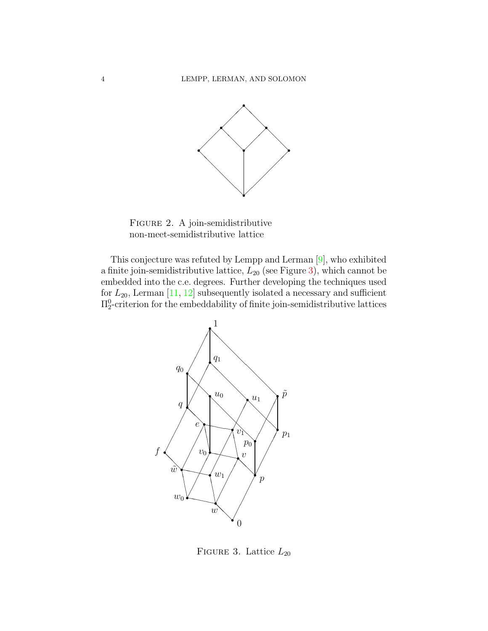

<span id="page-3-0"></span>Figure 2. A join-semidistributive non-meet-semidistributive lattice

This conjecture was refuted by Lempp and Lerman [\[9\]](#page-24-9), who exhibited a finite join-semidistributive lattice,  $L_{20}$  (see Figure [3\)](#page-3-1), which cannot be embedded into the c.e. degrees. Further developing the techniques used for  $L_{20}$ , Lerman [\[11,](#page-24-10) [12\]](#page-24-11) subsequently isolated a necessary and sufficient  $\Pi^0_2$ -criterion for the embeddability of finite join-semidistributive lattices



<span id="page-3-1"></span>FIGURE 3. Lattice  $L_{20}$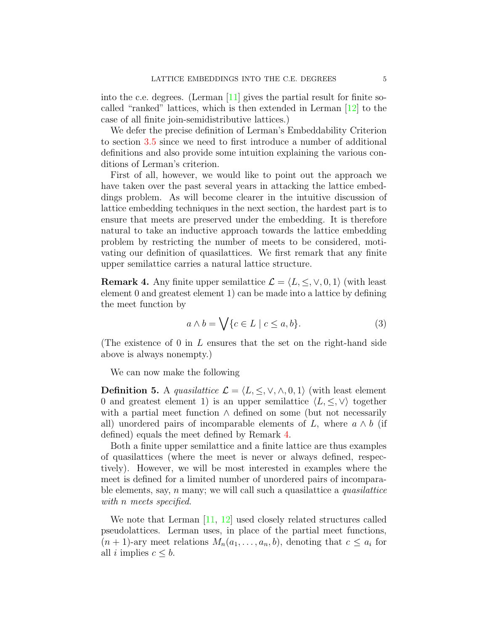into the c.e. degrees. (Lerman  $[11]$  gives the partial result for finite socalled "ranked" lattices, which is then extended in Lerman  $[12]$  to the case of all finite join-semidistributive lattices.)

We defer the precise definition of Lerman's Embeddability Criterion to section [3.5](#page-16-0) since we need to first introduce a number of additional definitions and also provide some intuition explaining the various conditions of Lerman's criterion.

First of all, however, we would like to point out the approach we have taken over the past several years in attacking the lattice embeddings problem. As will become clearer in the intuitive discussion of lattice embedding techniques in the next section, the hardest part is to ensure that meets are preserved under the embedding. It is therefore natural to take an inductive approach towards the lattice embedding problem by restricting the number of meets to be considered, motivating our definition of quasilattices. We first remark that any finite upper semilattice carries a natural lattice structure.

<span id="page-4-0"></span>**Remark 4.** Any finite upper semilattice  $\mathcal{L} = \langle L, \leq, \vee, 0, 1 \rangle$  (with least element 0 and greatest element 1) can be made into a lattice by defining the meet function by

$$
a \wedge b = \bigvee \{c \in L \mid c \le a, b\}.
$$
 (3)

(The existence of 0 in L ensures that the set on the right-hand side above is always nonempty.)

We can now make the following

**Definition 5.** A quasilattice  $\mathcal{L} = \{L, \leq, \vee, \wedge, 0, 1\}$  (with least element 0 and greatest element 1) is an upper semilattice  $\langle L, \leq, \vee \rangle$  together with a partial meet function  $\wedge$  defined on some (but not necessarily all) unordered pairs of incomparable elements of L, where  $a \wedge b$  (if defined) equals the meet defined by Remark [4.](#page-4-0)

Both a finite upper semilattice and a finite lattice are thus examples of quasilattices (where the meet is never or always defined, respectively). However, we will be most interested in examples where the meet is defined for a limited number of unordered pairs of incomparable elements, say,  $n$  many; we will call such a quasilattice a *quasilattice* with *n* meets specified.

We note that Lerman [\[11,](#page-24-10) [12\]](#page-24-11) used closely related structures called pseudolattices. Lerman uses, in place of the partial meet functions,  $(n+1)$ -ary meet relations  $M_n(a_1,\ldots,a_n,b)$ , denoting that  $c \leq a_i$  for all i implies  $c \leq b$ .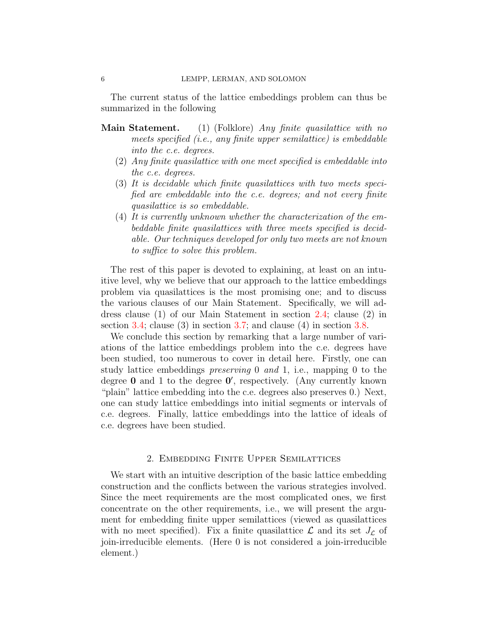The current status of the lattice embeddings problem can thus be summarized in the following

- Main Statement. (1) (Folklore) Any finite quasilattice with no meets specified (i.e., any finite upper semilattice) is embeddable into the c.e. degrees.
	- (2) Any finite quasilattice with one meet specified is embeddable into the c.e. degrees.
	- (3) It is decidable which finite quasilattices with two meets specified are embeddable into the c.e. degrees; and not every finite quasilattice is so embeddable.
	- (4) It is currently unknown whether the characterization of the embeddable finite quasilattices with three meets specified is decidable. Our techniques developed for only two meets are not known to suffice to solve this problem.

The rest of this paper is devoted to explaining, at least on an intuitive level, why we believe that our approach to the lattice embeddings problem via quasilattices is the most promising one; and to discuss the various clauses of our Main Statement. Specifically, we will address clause (1) of our Main Statement in section [2.4;](#page-7-0) clause (2) in section [3.4;](#page-14-0) clause (3) in section [3.7;](#page-22-0) and clause (4) in section [3.8.](#page-23-0)

We conclude this section by remarking that a large number of variations of the lattice embeddings problem into the c.e. degrees have been studied, too numerous to cover in detail here. Firstly, one can study lattice embeddings preserving 0 and 1, i.e., mapping 0 to the degree 0 and 1 to the degree 0', respectively. (Any currently known "plain" lattice embedding into the c.e. degrees also preserves 0.) Next, one can study lattice embeddings into initial segments or intervals of c.e. degrees. Finally, lattice embeddings into the lattice of ideals of c.e. degrees have been studied.

## 2. Embedding Finite Upper Semilattices

We start with an intuitive description of the basic lattice embedding construction and the conflicts between the various strategies involved. Since the meet requirements are the most complicated ones, we first concentrate on the other requirements, i.e., we will present the argument for embedding finite upper semilattices (viewed as quasilattices with no meet specified). Fix a finite quasilattice  $\mathcal L$  and its set  $J_{\mathcal L}$  of join-irreducible elements. (Here 0 is not considered a join-irreducible element.)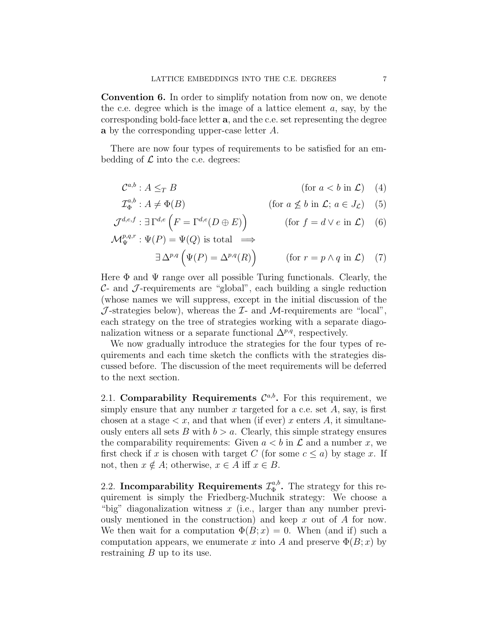Convention 6. In order to simplify notation from now on, we denote the c.e. degree which is the image of a lattice element  $a$ , say, by the corresponding bold-face letter a, and the c.e. set representing the degree a by the corresponding upper-case letter A.

There are now four types of requirements to be satisfied for an embedding of  $\mathcal L$  into the c.e. degrees:

$$
\mathcal{C}^{a,b}: A \leq_T B \qquad (\text{for } a < b \text{ in } \mathcal{L}) \quad (4)
$$

$$
\mathcal{I}_{\Phi}^{a,b}: A \neq \Phi(B) \qquad (\text{for } a \not\le b \text{ in } \mathcal{L}; a \in J_{\mathcal{L}}) \quad (5)
$$

$$
\mathcal{J}^{d,e,f} : \exists \Gamma^{d,e} \left( F = \Gamma^{d,e}(D \oplus E) \right) \qquad (\text{for } f = d \lor e \text{ in } \mathcal{L}) \tag{6}
$$

$$
\mathcal{M}_{\Psi}^{p,q,r} : \Psi(P) = \Psi(Q) \text{ is total } \implies
$$
  

$$
\exists \Delta^{p,q} \left( \Psi(P) = \Delta^{p,q}(R) \right) \qquad (\text{for } r = p \land q \text{ in } \mathcal{L}) \quad (7)
$$

Here  $\Phi$  and  $\Psi$  range over all possible Turing functionals. Clearly, the  $\mathcal{C}$ - and  $\mathcal{J}$ -requirements are "global", each building a single reduction (whose names we will suppress, except in the initial discussion of the  $\mathcal J$ -strategies below), whereas the  $\mathcal I$ - and  $\mathcal M$ -requirements are "local", each strategy on the tree of strategies working with a separate diagonalization witness or a separate functional  $\Delta^{p,q}$ , respectively.

We now gradually introduce the strategies for the four types of requirements and each time sketch the conflicts with the strategies discussed before. The discussion of the meet requirements will be deferred to the next section.

2.1. Comparability Requirements  $\mathcal{C}^{a,b}$ . For this requirement, we simply ensure that any number x targeted for a c.e. set  $A$ , say, is first chosen at a stage  $\lt x$ , and that when (if ever) x enters A, it simultaneously enters all sets B with  $b > a$ . Clearly, this simple strategy ensures the comparability requirements: Given  $a < b$  in  $\mathcal L$  and a number x, we first check if x is chosen with target C (for some  $c \leq a$ ) by stage x. If not, then  $x \notin A$ ; otherwise,  $x \in A$  iff  $x \in B$ .

2.2. Incomparability Requirements  $\mathcal{I}_{\Phi}^{a,b}$  $_{\Phi}^{a,b}$ . The strategy for this requirement is simply the Friedberg-Muchnik strategy: We choose a "big" diagonalization witness  $x$  (i.e., larger than any number previously mentioned in the construction) and keep x out of A for now. We then wait for a computation  $\Phi(B; x) = 0$ . When (and if) such a computation appears, we enumerate x into A and preserve  $\Phi(B; x)$  by restraining  $B$  up to its use.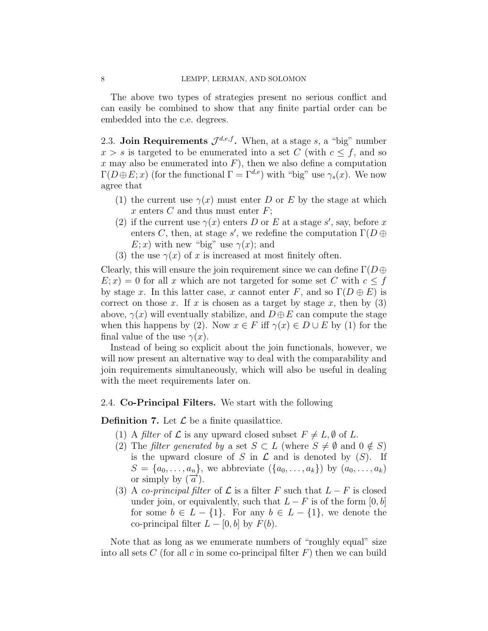The above two types of strategies present no serious conflict and can easily be combined to show that any finite partial order can be embedded into the c.e. degrees.

<span id="page-7-1"></span>2.3. Join Requirements  $\mathcal{J}^{d,e,f}$ . When, at a stage s, a "big" number  $x > s$  is targeted to be enumerated into a set C (with  $c \leq f$ , and so x may also be enumerated into  $F$ ), then we also define a computation  $\Gamma(D \oplus E; x)$  (for the functional  $\Gamma = \Gamma^{d,e}$ ) with "big" use  $\gamma_s(x)$ . We now agree that

- (1) the current use  $\gamma(x)$  must enter D or E by the stage at which x enters  $C$  and thus must enter  $F$ ;
- (2) if the current use  $\gamma(x)$  enters D or E at a stage s', say, before x enters C, then, at stage s', we redefine the computation  $\Gamma(D \oplus$  $E; x$ ) with new "big" use  $\gamma(x)$ ; and
- (3) the use  $\gamma(x)$  of x is increased at most finitely often.

Clearly, this will ensure the join requirement since we can define  $\Gamma(D \oplus$  $E; x$  = 0 for all x which are not targeted for some set C with  $c \leq f$ by stage x. In this latter case, x cannot enter F, and so  $\Gamma(D \oplus E)$  is correct on those x. If x is chosen as a target by stage x, then by  $(3)$ above,  $\gamma(x)$  will eventually stabilize, and  $D \oplus E$  can compute the stage when this happens by (2). Now  $x \in F$  iff  $\gamma(x) \in D \cup E$  by (1) for the final value of the use  $\gamma(x)$ .

Instead of being so explicit about the join functionals, however, we will now present an alternative way to deal with the comparability and join requirements simultaneously, which will also be useful in dealing with the meet requirements later on.

## <span id="page-7-0"></span>2.4. Co-Principal Filters. We start with the following

**Definition 7.** Let  $\mathcal{L}$  be a finite quasilattice.

- (1) A *filter* of  $\mathcal L$  is any upward closed subset  $F \neq L, \emptyset$  of L.
- (2) The filter generated by a set  $S \subset L$  (where  $S \neq \emptyset$  and  $0 \notin S$ ) is the upward closure of S in  $\mathcal L$  and is denoted by  $(S)$ . If  $S = \{a_0, \ldots, a_n\}$ , we abbreviate  $(\{a_0, \ldots, a_k\})$  by  $(a_0, \ldots, a_k)$ or simply by  $(\vec{a})$ .
- (3) A co-principal filter of  $\mathcal L$  is a filter F such that  $L-F$  is closed under join, or equivalently, such that  $L - F$  is of the form [0, b] for some  $b \in L - \{1\}$ . For any  $b \in L - \{1\}$ , we denote the co-principal filter  $L - [0, b]$  by  $F(b)$ .

Note that as long as we enumerate numbers of "roughly equal" size into all sets C (for all c in some co-principal filter  $F$ ) then we can build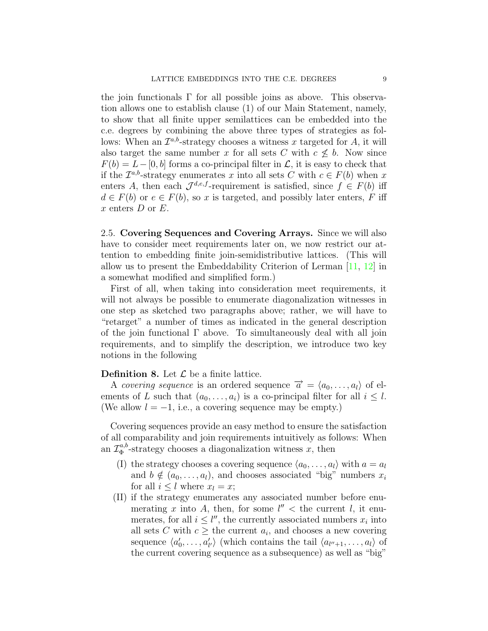the join functionals  $\Gamma$  for all possible joins as above. This observation allows one to establish clause (1) of our Main Statement, namely, to show that all finite upper semilattices can be embedded into the c.e. degrees by combining the above three types of strategies as follows: When an  $\mathcal{I}^{a,b}$ -strategy chooses a witness x targeted for A, it will also target the same number x for all sets C with  $c \nleq b$ . Now since  $F(b) = L-[0, b]$  forms a co-principal filter in  $\mathcal{L}$ , it is easy to check that if the  $\mathcal{I}^{a,b}$ -strategy enumerates x into all sets C with  $c \in F(b)$  when x enters A, then each  $\mathcal{J}^{d,e,f}$ -requirement is satisfied, since  $f \in F(b)$  iff  $d \in F(b)$  or  $e \in F(b)$ , so x is targeted, and possibly later enters, F iff  $x$  enters  $D$  or  $E$ .

2.5. Covering Sequences and Covering Arrays. Since we will also have to consider meet requirements later on, we now restrict our attention to embedding finite join-semidistributive lattices. (This will allow us to present the Embeddability Criterion of Lerman [\[11,](#page-24-10) [12\]](#page-24-11) in a somewhat modified and simplified form.)

First of all, when taking into consideration meet requirements, it will not always be possible to enumerate diagonalization witnesses in one step as sketched two paragraphs above; rather, we will have to "retarget" a number of times as indicated in the general description of the join functional Γ above. To simultaneously deal with all join requirements, and to simplify the description, we introduce two key notions in the following

#### **Definition 8.** Let  $\mathcal{L}$  be a finite lattice.

A covering sequence is an ordered sequence  $\vec{a} = \langle a_0, \ldots, a_l \rangle$  of elements of L such that  $(a_0, \ldots, a_i)$  is a co-principal filter for all  $i \leq l$ . (We allow  $l = -1$ , i.e., a covering sequence may be empty.)

Covering sequences provide an easy method to ensure the satisfaction of all comparability and join requirements intuitively as follows: When an  $\mathcal{I}_{\Phi}^{a,b}$  $\phi_{\Phi}^{a,b}$ -strategy chooses a diagonalization witness x, then

- (I) the strategy chooses a covering sequence  $\langle a_0, \ldots, a_l \rangle$  with  $a = a_l$ and  $b \notin (a_0, \ldots, a_l)$ , and chooses associated "big" numbers  $x_i$ for all  $i \leq l$  where  $x_l = x$ ;
- (II) if the strategy enumerates any associated number before enumerating x into A, then, for some  $l'' <$  the current l, it enumerates, for all  $i \leq l''$ , the currently associated numbers  $x_i$  into all sets C with  $c \geq$  the current  $a_i$ , and chooses a new covering sequence  $\langle a_0 \rangle$  $\langle a_0, \ldots, a'_{l'} \rangle$  (which contains the tail  $\langle a_{l''+1}, \ldots, a_l \rangle$ ) of the current covering sequence as a subsequence) as well as "big"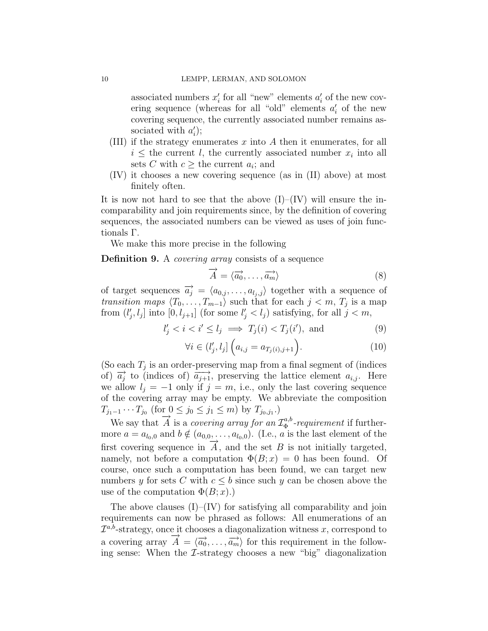associated numbers  $x_i'$  $a_i'$  for all "new" elements  $a_i'$  $i$  of the new covering sequence (whereas for all "old" elements  $a_i'$  $\eta_i'$  of the new covering sequence, the currently associated number remains associated with  $a_i'$  $'_{i});$ 

- (III) if the strategy enumerates  $x$  into  $A$  then it enumerates, for all  $i \leq$  the current l, the currently associated number  $x_i$  into all sets C with  $c \geq$  the current  $a_i$ ; and
- (IV) it chooses a new covering sequence (as in (II) above) at most finitely often.

It is now not hard to see that the above  $(I)$ – $(IV)$  will ensure the incomparability and join requirements since, by the definition of covering sequences, the associated numbers can be viewed as uses of join functionals Γ.

We make this more precise in the following

Definition 9. A *covering array* consists of a sequence

$$
\overrightarrow{A} = \langle \overrightarrow{a_0}, \dots, \overrightarrow{a_m} \rangle \tag{8}
$$

of target sequences  $\overrightarrow{a_j} = \langle a_{0,j}, \ldots, a_{l_j,j} \rangle$  together with a sequence of *transition maps*  $\langle T_0, \ldots, T_{m-1} \rangle$  such that for each  $j < m, T_j$  is a map from  $(l_1)$  $[i, l_j]$  into  $[0, l_{j+1}]$  (for some  $l'_j < l_j$ ) satisfying, for all  $j < m$ ,

$$
l'_j < i < i' \le l_j \implies T_j(i) < T_j(i'), \text{ and } (9)
$$

$$
\forall i \in (l'_j, l_j] \left( a_{i,j} = a_{T_j(i), j+1} \right). \tag{10}
$$

(So each  $T_j$  is an order-preserving map from a final segment of (indices of)  $\overrightarrow{a_j}$  to (indices of)  $\overrightarrow{a_{j+1}}$ , preserving the lattice element  $a_{i,j}$ . Here we allow  $l_i = -1$  only if  $j = m$ , i.e., only the last covering sequence of the covering array may be empty. We abbreviate the composition  $T_{j_1-1}\cdots T_{j_0}$  (for  $0\leq j_0\leq j_1\leq m$ ) by  $T_{j_0,j_1}$ .)

We say that  $\overrightarrow{A}$  is a covering array for an  $\mathcal{I}_{\Phi}^{a,b}$  $a_{\Phi}^{a,b}$ -requirement if furthermore  $a = a_{l_0,0}$  and  $b \notin (a_{0,0}, \ldots, a_{l_0,0})$ . (I.e., a is the last element of the first covering sequence in  $\tilde{A}$ , and the set B is not initially targeted, namely, not before a computation  $\Phi(B; x) = 0$  has been found. Of course, once such a computation has been found, we can target new numbers y for sets C with  $c \leq b$  since such y can be chosen above the use of the computation  $\Phi(B; x)$ .)

The above clauses  $(I)$ – $(IV)$  for satisfying all comparability and join requirements can now be phrased as follows: All enumerations of an  $\mathcal{I}^{a,b}$ -strategy, once it chooses a diagonalization witness x, correspond to a covering array  $\vec{A} = \langle \vec{a_0}, \dots, \vec{a_m} \rangle$  for this requirement in the following sense: When the  $\mathcal{I}\text{-strategy chooses a new "big" diagonalization}$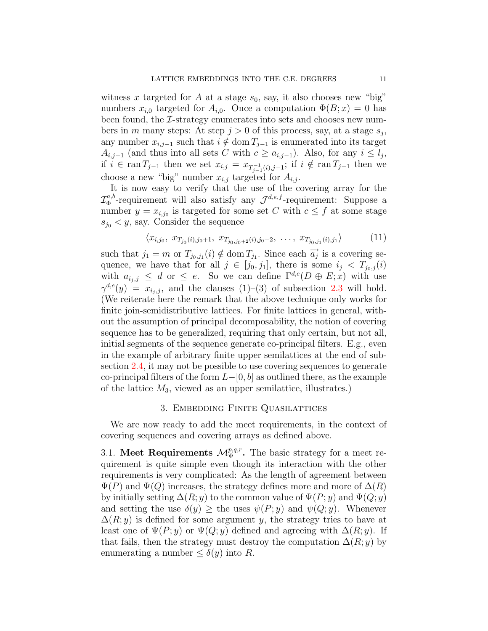witness x targeted for A at a stage  $s_0$ , say, it also chooses new "big" numbers  $x_{i,0}$  targeted for  $A_{i,0}$ . Once a computation  $\Phi(B; x) = 0$  has been found, the  $\mathcal{I}\text{-strategy enumerates into sets and chooses new num-}$ bers in m many steps: At step  $j > 0$  of this process, say, at a stage  $s_j$ , any number  $x_{i,j-1}$  such that  $i \notin \text{dom } T_{j-1}$  is enumerated into its target  $A_{i,j-1}$  (and thus into all sets C with  $c \ge a_{i,j-1}$ ). Also, for any  $i \le l_j$ , if  $i \in \text{ran } T_{j-1}$  then we set  $x_{i,j} = x_{T_{j-1}^{-1}(i),j-1}$ ; if  $i \notin \text{ran } T_{j-1}$  then we choose a new "big" number  $x_{i,j}$  targeted for  $A_{i,j}$ .

It is now easy to verify that the use of the covering array for the  ${\mathcal I}_{\Phi}^{a,b}$ <sup>a,b</sup>-requirement will also satisfy any  $\mathcal{J}^{d,e,f}$ -requirement: Suppose a number  $y = x_{i,j_0}$  is targeted for some set C with  $c \leq f$  at some stage  $s_{j_0} < y$ , say. Consider the sequence

$$
\langle x_{i,j_0}, x_{T_{j_0}(i),j_0+1}, x_{T_{j_0,j_0+2}(i),j_0+2}, \ldots, x_{T_{j_0,j_1}(i),j_1} \rangle \tag{11}
$$

such that  $j_1 = m$  or  $T_{j_0, j_1}(i) \notin \text{dom } T_{j_1}$ . Since each  $\overrightarrow{a_j}$  is a covering sequence, we have that for all  $j \in [j_0, j_1]$ , there is some  $i_j < T_{j_0, j}(i)$ with  $a_{i_j,j} \leq d$  or  $\leq e$ . So we can define  $\Gamma^{d,e}(D \oplus E; x)$  with use  $\gamma^{d,e}(y) = x_{i_j,j}$ , and the clauses  $(1)$ – $(3)$  of subsection [2.3](#page-7-1) will hold. (We reiterate here the remark that the above technique only works for finite join-semidistributive lattices. For finite lattices in general, without the assumption of principal decomposability, the notion of covering sequence has to be generalized, requiring that only certain, but not all, initial segments of the sequence generate co-principal filters. E.g., even in the example of arbitrary finite upper semilattices at the end of subsection [2.4,](#page-7-0) it may not be possible to use covering sequences to generate co-principal filters of the form  $L-[0, b]$  as outlined there, as the example of the lattice  $M_3$ , viewed as an upper semilattice, illustrates.)

#### 3. Embedding Finite Quasilattices

We are now ready to add the meet requirements, in the context of covering sequences and covering arrays as defined above.

<span id="page-10-0"></span>3.1. Meet Requirements  $\mathcal{M}_{\Psi}^{p,q,r}$ . The basic strategy for a meet requirement is quite simple even though its interaction with the other requirements is very complicated: As the length of agreement between  $\Psi(P)$  and  $\Psi(Q)$  increases, the strategy defines more and more of  $\Delta(R)$ by initially setting  $\Delta(R; y)$  to the common value of  $\Psi(P; y)$  and  $\Psi(Q; y)$ and setting the use  $\delta(y) \geq$  the uses  $\psi(P; y)$  and  $\psi(Q; y)$ . Whenever  $\Delta(R; y)$  is defined for some argument y, the strategy tries to have at least one of  $\Psi(P; y)$  or  $\Psi(Q; y)$  defined and agreeing with  $\Delta(R; y)$ . If that fails, then the strategy must destroy the computation  $\Delta(R; y)$  by enumerating a number  $\leq \delta(y)$  into R.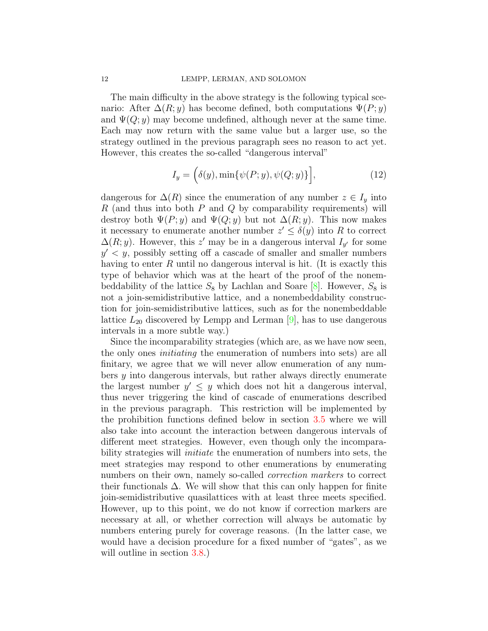The main difficulty in the above strategy is the following typical scenario: After  $\Delta(R; y)$  has become defined, both computations  $\Psi(P; y)$ and  $\Psi(Q; y)$  may become undefined, although never at the same time. Each may now return with the same value but a larger use, so the strategy outlined in the previous paragraph sees no reason to act yet. However, this creates the so-called "dangerous interval"

$$
I_y = \left( \delta(y), \min\{\psi(P; y), \psi(Q; y)\} \right],\tag{12}
$$

dangerous for  $\Delta(R)$  since the enumeration of any number  $z \in I_y$  into  $R$  (and thus into both  $P$  and  $Q$  by comparability requirements) will destroy both  $\Psi(P; y)$  and  $\Psi(Q; y)$  but not  $\Delta(R; y)$ . This now makes it necessary to enumerate another number  $z' \leq \delta(y)$  into R to correct  $\Delta(R; y)$ . However, this z' may be in a dangerous interval  $I_{y'}$  for some  $y' \leq y$ , possibly setting off a cascade of smaller and smaller numbers having to enter R until no dangerous interval is hit. (It is exactly this type of behavior which was at the heart of the proof of the nonembeddability of the lattice  $S_8$  by Lachlan and Soare [\[8\]](#page-24-4). However,  $S_8$  is not a join-semidistributive lattice, and a nonembeddability construction for join-semidistributive lattices, such as for the nonembeddable lattice  $L_{20}$  discovered by Lempp and Lerman [\[9\]](#page-24-9), has to use dangerous intervals in a more subtle way.)

Since the incomparability strategies (which are, as we have now seen, the only ones initiating the enumeration of numbers into sets) are all finitary, we agree that we will never allow enumeration of any numbers y into dangerous intervals, but rather always directly enumerate the largest number  $y' \leq y$  which does not hit a dangerous interval, thus never triggering the kind of cascade of enumerations described in the previous paragraph. This restriction will be implemented by the prohibition functions defined below in section [3.5](#page-16-0) where we will also take into account the interaction between dangerous intervals of different meet strategies. However, even though only the incomparability strategies will initiate the enumeration of numbers into sets, the meet strategies may respond to other enumerations by enumerating numbers on their own, namely so-called correction markers to correct their functionals  $\Delta$ . We will show that this can only happen for finite join-semidistributive quasilattices with at least three meets specified. However, up to this point, we do not know if correction markers are necessary at all, or whether correction will always be automatic by numbers entering purely for coverage reasons. (In the latter case, we would have a decision procedure for a fixed number of "gates", as we will outline in section  $3.8$ .)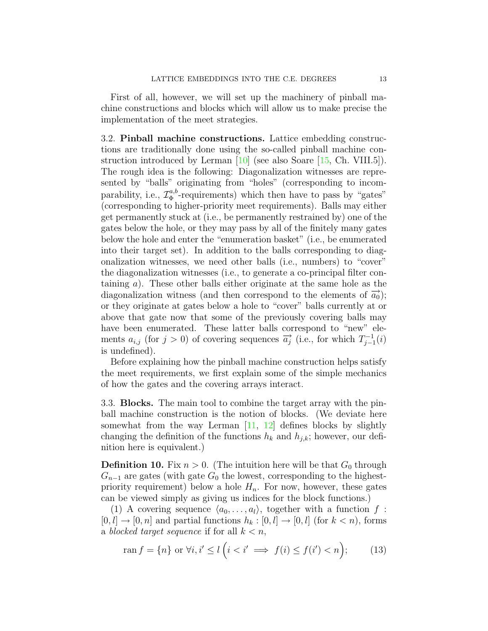First of all, however, we will set up the machinery of pinball machine constructions and blocks which will allow us to make precise the implementation of the meet strategies.

3.2. Pinball machine constructions. Lattice embedding constructions are traditionally done using the so-called pinball machine construction introduced by Lerman  $[10]$  (see also Soare  $[15, Ch. VIII.5]$ ). The rough idea is the following: Diagonalization witnesses are represented by "balls" originating from "holes" (corresponding to incomparability, i.e.,  $\mathcal{I}_{\Phi}^{a,b}$  $\Phi_{\Phi}^{a,b}$ -requirements) which then have to pass by "gates" (corresponding to higher-priority meet requirements). Balls may either get permanently stuck at (i.e., be permanently restrained by) one of the gates below the hole, or they may pass by all of the finitely many gates below the hole and enter the "enumeration basket" (i.e., be enumerated into their target set). In addition to the balls corresponding to diagonalization witnesses, we need other balls (i.e., numbers) to "cover" the diagonalization witnesses (i.e., to generate a co-principal filter containing a). These other balls either originate at the same hole as the diagonalization witness (and then correspond to the elements of  $\vec{a_0}$ ); or they originate at gates below a hole to "cover" balls currently at or above that gate now that some of the previously covering balls may have been enumerated. These latter balls correspond to "new" elements  $a_{i,j}$  (for  $j > 0$ ) of covering sequences  $\overrightarrow{a_j}$  (i.e., for which  $T_{j-1}^{-1}$  $j-1 \choose j-1$ is undefined).

Before explaining how the pinball machine construction helps satisfy the meet requirements, we first explain some of the simple mechanics of how the gates and the covering arrays interact.

3.3. Blocks. The main tool to combine the target array with the pinball machine construction is the notion of blocks. (We deviate here somewhat from the way Lerman  $[11, 12]$  $[11, 12]$  defines blocks by slightly changing the definition of the functions  $h_k$  and  $h_{j,k}$ ; however, our definition here is equivalent.)

**Definition 10.** Fix  $n > 0$ . (The intuition here will be that  $G_0$  through  $G_{n-1}$  are gates (with gate  $G_0$  the lowest, corresponding to the highestpriority requirement) below a hole  $H_n$ . For now, however, these gates can be viewed simply as giving us indices for the block functions.)

(1) A covering sequence  $\langle a_0, \ldots, a_l \rangle$ , together with a function f :  $[0, l] \rightarrow [0, n]$  and partial functions  $h_k : [0, l] \rightarrow [0, l]$  (for  $k < n$ ), forms a blocked target sequence if for all  $k < n$ ,

<span id="page-12-0"></span>
$$
\operatorname{ran} f = \{n\} \text{ or } \forall i, i' \le l \left(i < i' \implies f(i) \le f(i') < n\right); \tag{13}
$$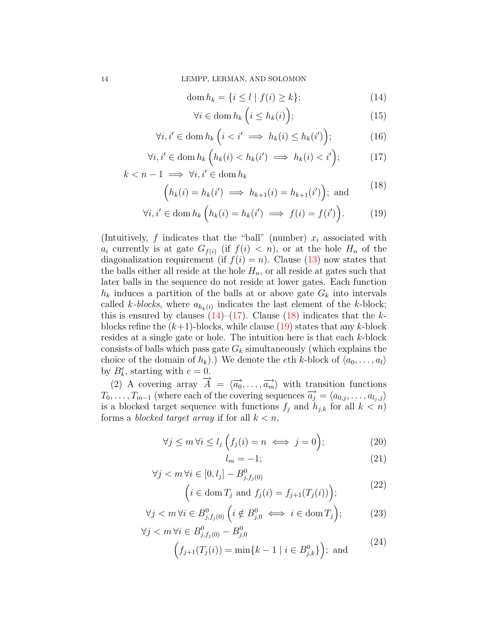$$
\operatorname{dom} h_k = \{ i \le l \mid f(i) \ge k \};\tag{14}
$$

$$
\forall i \in \text{dom}\, h_k \left( i \le h_k(i) \right); \tag{15}
$$

<span id="page-13-3"></span><span id="page-13-2"></span><span id="page-13-1"></span><span id="page-13-0"></span> $(40)$ 

$$
\forall i, i' \in \text{dom}\, h_k \left( i < i' \implies h_k(i) \le h_k(i') \right); \tag{16}
$$

$$
\forall i, i' \in \text{dom}\, h_k \left( h_k(i) < h_k(i') \implies h_k(i) < i' \right); \tag{17}
$$

 $k < n - 1 \implies \forall i, i' \in \text{dom } h_k$ 

$$
\left(h_k(i) = h_k(i') \implies h_{k+1}(i) = h_{k+1}(i')\right); \text{ and } (18)
$$

$$
\forall i, i' \in \text{dom}\, h_k \left( h_k(i) = h_k(i') \implies f(i) = f(i') \right). \tag{19}
$$

(Intuitively, f indicates that the "ball" (number)  $x_i$  associated with  $a_i$  currently is at gate  $G_{f(i)}$  (if  $f(i) < n$ ), or at the hole  $H_n$  of the diagonalization requirement (if  $f(i) = n$ ). Clause [\(13\)](#page-12-0) now states that the balls either all reside at the hole  $H_n$ , or all reside at gates such that later balls in the sequence do not reside at lower gates. Each function  $h_k$  induces a partition of the balls at or above gate  $G_k$  into intervals called k-blocks, where  $a_{h_k(i)}$  indicates the last element of the k-block; this is ensured by clauses  $(14)$ – $(17)$ . Clause  $(18)$  indicates that the kblocks refine the  $(k+1)$ -blocks, while clause [\(19\)](#page-13-3) states that any k-block resides at a single gate or hole. The intuition here is that each k-block consists of balls which pass gate  $G_k$  simultaneously (which explains the choice of the domain of  $h_k$ ).) We denote the eth k-block of  $\langle a_0, \ldots, a_l \rangle$ by  $B_k^e$ , starting with  $e = 0$ .

(2) A covering array  $\overrightarrow{A} = \langle \overrightarrow{a_0}, \ldots, \overrightarrow{a_m} \rangle$  with transition functions  $T_0, \ldots, T_{m-1}$  (where each of the covering sequences  $\overrightarrow{a_j} = \langle a_{0,j}, \ldots, a_{l_j,j} \rangle$ is a blocked target sequence with functions  $f_j$  and  $h_{j,k}$  for all  $k < n$ ) forms a blocked target array if for all  $k < n$ ,

$$
\forall j \le m \, \forall i \le l_j \left( f_j(i) = n \iff j = 0 \right); \tag{20}
$$

<span id="page-13-8"></span><span id="page-13-7"></span><span id="page-13-6"></span><span id="page-13-5"></span><span id="page-13-4"></span>
$$
l_m = -1; \tag{21}
$$

$$
\forall j < m \,\forall i \in [0, l_j] - B^0_{j, f_j(0)} \\
\left(i \in \text{dom}\, T_j \text{ and } f_j(i) = f_{j+1}(T_j(i))\right); \tag{22}
$$

$$
\forall j < m \, \forall i \in B^0_{j, f_j(0)} \left( i \notin B^0_{j,0} \iff i \in \text{dom}\, T_j \right); \tag{23}
$$

$$
\forall j < m \,\forall i \in B_{j,f_j(0)}^0 - B_{j,0}^0
$$
\n
$$
\left(f_{j+1}(T_j(i)) = \min\{k - 1 \mid i \in B_{j,k}^0\}\right); \text{ and} \tag{24}
$$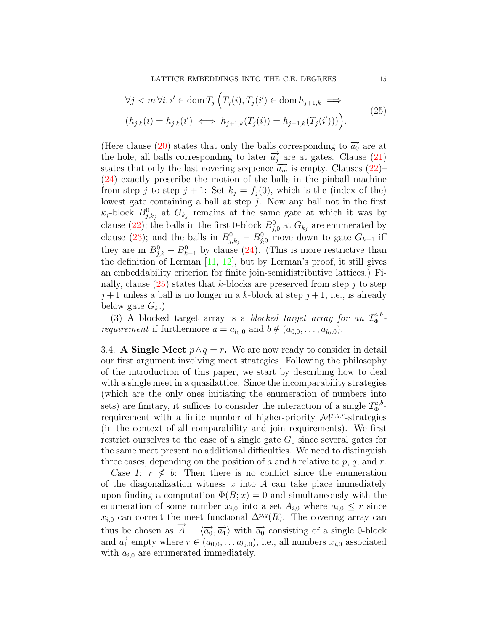<span id="page-14-1"></span>LATTICE EMBEDDINGS INTO THE C.E. DEGREES 15

$$
\forall j < m \,\forall i, i' \in \text{dom}\, T_j \left( T_j(i), T_j(i') \in \text{dom}\, h_{j+1,k} \implies \left( h_{j,k}(i) = h_{j,k}(i') \iff h_{j+1,k}(T_j(i)) = h_{j+1,k}(T_j(i')) \right) \right). \tag{25}
$$

(Here clause [\(20\)](#page-13-4) states that only the balls corresponding to  $\vec{a_0}$  are at the hole; all balls corresponding to later  $\overrightarrow{a_j}$  are at gates. Clause [\(21\)](#page-13-5) states that only the last covering sequence  $\overrightarrow{a_m}$  is empty. Clauses [\(22\)](#page-13-6)– [\(24\)](#page-13-7) exactly prescribe the motion of the balls in the pinball machine from step j to step  $j + 1$ : Set  $k_j = f_j(0)$ , which is the (index of the) lowest gate containing a ball at step  $j$ . Now any ball not in the first  $k_j$ -block  $B_{j,k_j}^0$  at  $G_{k_j}$  remains at the same gate at which it was by clause [\(22\)](#page-13-6); the balls in the first 0-block  $B_{j,0}^0$  at  $G_{k_j}$  are enumerated by clause [\(23\)](#page-13-8); and the balls in  $B_{j,k_j}^0 - B_{j,0}^0$  move down to gate  $G_{k-1}$  iff they are in  $B_{j,k}^0 - B_{k-1}^0$  by clause [\(24\)](#page-13-7). (This is more restrictive than the definition of Lerman  $[11, 12]$  $[11, 12]$ , but by Lerman's proof, it still gives an embeddability criterion for finite join-semidistributive lattices.) Finally, clause  $(25)$  states that k-blocks are preserved from step j to step  $j+1$  unless a ball is no longer in a k-block at step  $j+1$ , i.e., is already below gate  $G_k$ .)

(3) A blocked target array is a blocked target array for an  $\mathcal{I}_{\Phi}^{a,b}$  $\frac{a, b}{\Phi}$  *requirement* if furthermore  $a = a_{l_0,0}$  and  $b \notin (a_{0,0}, \ldots, a_{l_0,0}).$ 

<span id="page-14-0"></span>3.4. A Single Meet  $p \wedge q = r$ . We are now ready to consider in detail our first argument involving meet strategies. Following the philosophy of the introduction of this paper, we start by describing how to deal with a single meet in a quasilattice. Since the incomparability strategies (which are the only ones initiating the enumeration of numbers into sets) are finitary, it suffices to consider the interaction of a single  $\mathcal{I}_{\Phi}^{a,b}$  $\Phi^{a,b}$ requirement with a finite number of higher-priority  $\mathcal{M}^{p,q,r}$ -strategies (in the context of all comparability and join requirements). We first restrict ourselves to the case of a single gate  $G_0$  since several gates for the same meet present no additional difficulties. We need to distinguish three cases, depending on the position of a and b relative to p, q, and r.

Case 1:  $r \nleq b$ : Then there is no conflict since the enumeration of the diagonalization witness  $x$  into  $A$  can take place immediately upon finding a computation  $\Phi(B; x) = 0$  and simultaneously with the enumeration of some number  $x_{i,0}$  into a set  $A_{i,0}$  where  $a_{i,0} \leq r$  since  $x_{i,0}$  can correct the meet functional  $\Delta^{p,q}(R)$ . The covering array can thus be chosen as  $\overrightarrow{A} = \langle \overrightarrow{a_0}, \overrightarrow{a_1} \rangle$  with  $\overrightarrow{a_0}$  consisting of a single 0-block and  $\overrightarrow{a_1}$  empty where  $r \in (a_{0,0}, \ldots, a_{l_0,0}),$  i.e., all numbers  $x_{i,0}$  associated with  $a_{i,0}$  are enumerated immediately.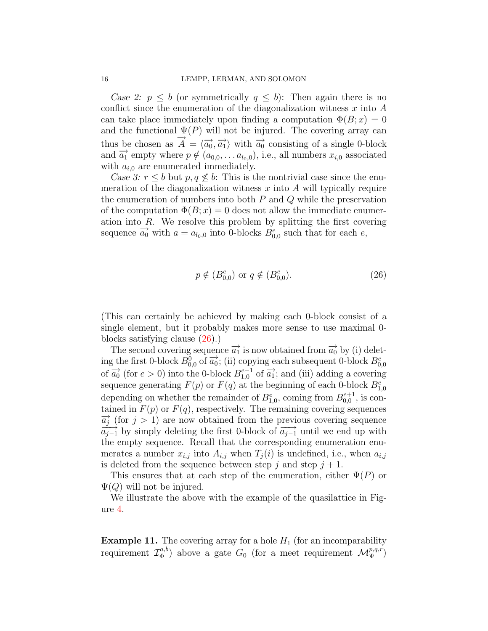Case 2:  $p \leq b$  (or symmetrically  $q \leq b$ ): Then again there is no conflict since the enumeration of the diagonalization witness  $x$  into  $A$ can take place immediately upon finding a computation  $\Phi(B; x) = 0$ and the functional  $\Psi(P)$  will not be injured. The covering array can thus be chosen as  $\overrightarrow{A} = \langle \overrightarrow{a_0}, \overrightarrow{a_1} \rangle$  with  $\overrightarrow{a_0}$  consisting of a single 0-block and  $\overrightarrow{a_1}$  empty where  $p \notin (a_{0,0}, \ldots, a_{l_0,0}),$  i.e., all numbers  $x_{i,0}$  associated with  $a_{i,0}$  are enumerated immediately.

Case 3:  $r \leq b$  but  $p, q \leq b$ : This is the nontrivial case since the enumeration of the diagonalization witness  $x$  into  $A$  will typically require the enumeration of numbers into both  $P$  and  $Q$  while the preservation of the computation  $\Phi(B; x) = 0$  does not allow the immediate enumeration into R. We resolve this problem by splitting the first covering sequence  $\overrightarrow{a_0}$  with  $a = a_{l_0,0}$  into 0-blocks  $B_{0,0}^e$  such that for each e,

<span id="page-15-0"></span>
$$
p \notin (B_{0,0}^e)
$$
 or  $q \notin (B_{0,0}^e)$ . (26)

(This can certainly be achieved by making each 0-block consist of a single element, but it probably makes more sense to use maximal 0 blocks satisfying clause [\(26\)](#page-15-0).)

The second covering sequence  $\overrightarrow{a_1}$  is now obtained from  $\overrightarrow{a_0}$  by (i) deleting the first 0-block  $B_{0,0}^0$  of  $\overrightarrow{a_0}$ ; (ii) copying each subsequent 0-block  $B_{0,0}^e$ of  $\overrightarrow{a_0}$  (for  $e > 0$ ) into the 0-block  $B_{1,0}^{e-1}$  of  $\overrightarrow{a_1}$ ; and (iii) adding a covering sequence generating  $F(p)$  or  $F(q)$  at the beginning of each 0-block  $B_{1,0}^e$ depending on whether the remainder of  $B_{1,0}^e$ , coming from  $B_{0,0}^{e+1}$ , is contained in  $F(p)$  or  $F(q)$ , respectively. The remaining covering sequences  $\overrightarrow{a_j}$  (for  $j > 1$ ) are now obtained from the previous covering sequence  $\overrightarrow{a_{j-1}}$  by simply deleting the first 0-block of  $\overrightarrow{a_{j-1}}$  until we end up with the empty sequence. Recall that the corresponding enumeration enumerates a number  $x_{i,j}$  into  $A_{i,j}$  when  $T_j(i)$  is undefined, i.e., when  $a_{i,j}$ is deleted from the sequence between step j and step  $j + 1$ .

This ensures that at each step of the enumeration, either  $\Psi(P)$  or  $\Psi(Q)$  will not be injured.

We illustrate the above with the example of the quasilattice in Figure [4.](#page-16-1)

**Example 11.** The covering array for a hole  $H_1$  (for an incomparability requirement  $\mathcal{I}_{\Phi}^{a,b}$  $\mathcal{M}_{\Phi}^{a,b}$ ) above a gate  $G_0$  (for a meet requirement  $\mathcal{M}_{\Psi}^{p,q,r}$ )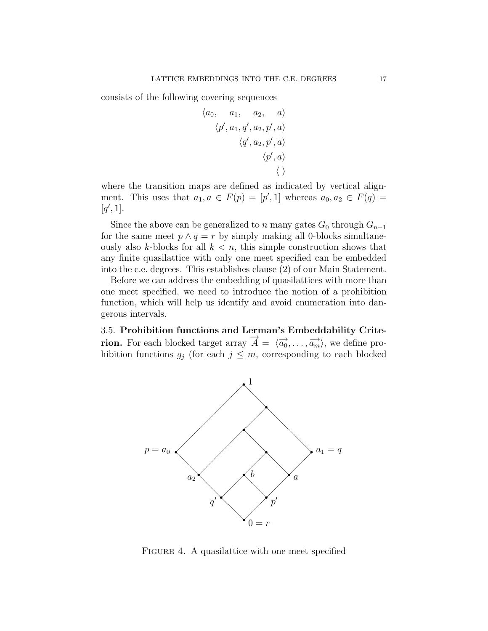consists of the following covering sequences

$$
\begin{array}{ccc} \langle a_0, & a_1, & a_2, & a \rangle \\ \langle p^\prime, a_1, q^\prime, a_2, p^\prime, a \rangle \\ & \langle q^\prime, a_2, p^\prime, a \rangle \\ & \langle p^\prime, a \rangle \\ & \langle \ \rangle \end{array}
$$

where the transition maps are defined as indicated by vertical alignment. This uses that  $a_1, a \in F(p) = [p', 1]$  whereas  $a_0, a_2 \in F(q)$  $[q', 1].$ 

Since the above can be generalized to n many gates  $G_0$  through  $G_{n-1}$ for the same meet  $p \wedge q = r$  by simply making all 0-blocks simultaneously also k-blocks for all  $k < n$ , this simple construction shows that any finite quasilattice with only one meet specified can be embedded into the c.e. degrees. This establishes clause (2) of our Main Statement.

Before we can address the embedding of quasilattices with more than one meet specified, we need to introduce the notion of a prohibition function, which will help us identify and avoid enumeration into dangerous intervals.

<span id="page-16-0"></span>3.5. Prohibition functions and Lerman's Embeddability Crite-Fion. For each blocked target array  $\vec{A} = \langle \vec{a_0}, \dots, \vec{a_m} \rangle$ , we define prohibition functions  $g_j$  (for each  $j \leq m$ , corresponding to each blocked



<span id="page-16-1"></span>FIGURE 4. A quasilattice with one meet specified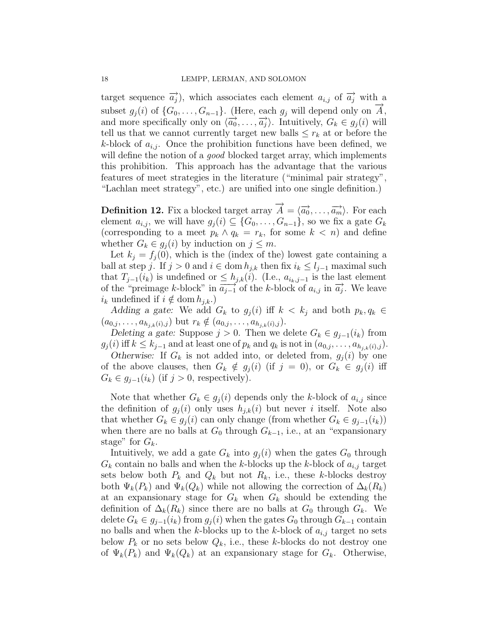target sequence  $\overrightarrow{a_j}$ , which associates each element  $a_{i,j}$  of  $\overrightarrow{a_j}$  with a subset  $g_j(i)$  of  $\{G_0, \ldots, G_{n-1}\}.$  (Here, each  $g_j$  will depend only on  $\overline{A}$ , and more specifically only on  $\langle \overrightarrow{a_0}, \ldots, \overrightarrow{a_j} \rangle$ . Intuitively,  $G_k \in g_j(i)$  will tell us that we cannot currently target new balls  $\leq r_k$  at or before the k-block of  $a_{i,j}$ . Once the prohibition functions have been defined, we will define the notion of a *good* blocked target array, which implements this prohibition. This approach has the advantage that the various features of meet strategies in the literature ("minimal pair strategy", "Lachlan meet strategy", etc.) are unified into one single definition.)

<span id="page-17-0"></span>**Definition 12.** Fix a blocked target array  $\overrightarrow{A} = \langle \overrightarrow{a_0}, \ldots, \overrightarrow{a_m} \rangle$ . For each element  $a_{i,j}$ , we will have  $g_j(i) \subseteq \{G_0, \ldots, G_{n-1}\}$ , so we fix a gate  $G_k$ (corresponding to a meet  $p_k \wedge q_k = r_k$ , for some  $k < n$ ) and define whether  $G_k \in g_i(i)$  by induction on  $j \leq m$ .

Let  $k_i = f_i(0)$ , which is the (index of the) lowest gate containing a ball at step j. If  $j > 0$  and  $i \in \text{dom } h_{j,k}$  then fix  $i_k \leq l_{j-1}$  maximal such that  $T_{j-1}(i_k)$  is undefined or  $\leq h_{j,k}(i)$ . (I.e.,  $a_{i_k,j-1}$  is the last element of the "preimage k-block" in  $\overline{a_{j-1}}$  of the k-block of  $a_{i,j}$  in  $\overrightarrow{a_j}$ . We leave  $i_k$  undefined if  $i \notin \text{dom } h_{i,k}$ .)

Adding a gate: We add  $G_k$  to  $g_i(i)$  iff  $k < k_i$  and both  $p_k, q_k \in$  $(a_{0,j}, \ldots, a_{h_{j,k}(i),j})$  but  $r_k \notin (a_{0,j}, \ldots, a_{h_{j,k}(i),j}).$ 

Deleting a gate: Suppose  $j > 0$ . Then we delete  $G_k \in g_{j-1}(i_k)$  from  $g_j(i)$  iff  $k \leq k_{j-1}$  and at least one of  $p_k$  and  $q_k$  is not in  $(a_{0,j},\ldots,a_{h_{i,k}(i),j}).$ 

Otherwise: If  $G_k$  is not added into, or deleted from,  $g_i(i)$  by one of the above clauses, then  $G_k \notin g_j (i)$  (if  $j = 0$ ), or  $G_k \in g_j (i)$  iff  $G_k \in g_{j-1}(i_k)$  (if  $j > 0$ , respectively).

Note that whether  $G_k \in g_i(i)$  depends only the k-block of  $a_{i,j}$  since the definition of  $g_i(i)$  only uses  $h_{i,k}(i)$  but never i itself. Note also that whether  $G_k \in g_i(i)$  can only change (from whether  $G_k \in g_{i-1}(i_k)$ ) when there are no balls at  $G_0$  through  $G_{k-1}$ , i.e., at an "expansionary" stage" for  $G_k$ .

Intuitively, we add a gate  $G_k$  into  $g_i(i)$  when the gates  $G_0$  through  $G_k$  contain no balls and when the k-blocks up the k-block of  $a_{i,j}$  target sets below both  $P_k$  and  $Q_k$  but not  $R_k$ , i.e., these k-blocks destroy both  $\Psi_k(P_k)$  and  $\Psi_k(Q_k)$  while not allowing the correction of  $\Delta_k(R_k)$ at an expansionary stage for  $G_k$  when  $G_k$  should be extending the definition of  $\Delta_k(R_k)$  since there are no balls at  $G_0$  through  $G_k$ . We delete  $G_k \in g_{j-1}(i_k)$  from  $g_j(i)$  when the gates  $G_0$  through  $G_{k-1}$  contain no balls and when the k-blocks up to the k-block of  $a_{i,j}$  target no sets below  $P_k$  or no sets below  $Q_k$ , i.e., these k-blocks do not destroy one of  $\Psi_k(P_k)$  and  $\Psi_k(Q_k)$  at an expansionary stage for  $G_k$ . Otherwise,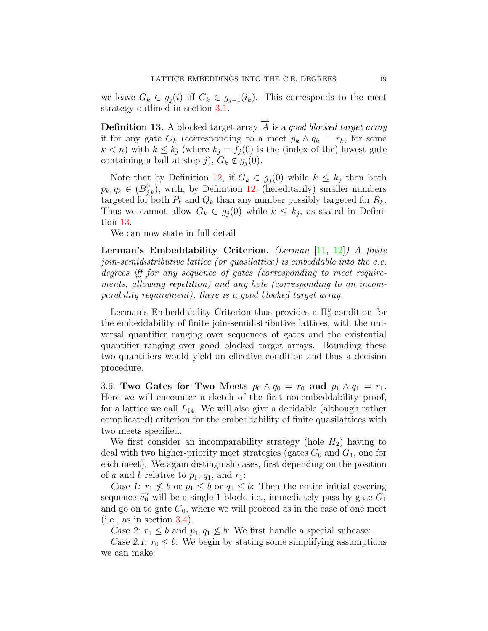<span id="page-18-0"></span>we leave  $G_k \in g_j(i)$  iff  $G_k \in g_{j-1}(i_k)$ . This corresponds to the meet strategy outlined in section [3.1.](#page-10-0)

**Definition 13.** A blocked target array  $\overrightarrow{A}$  is a good blocked target array if for any gate  $G_k$  (corresponding to a meet  $p_k \wedge q_k = r_k$ , for some  $k < n$ ) with  $k \leq k_j$  (where  $k_j = f_j(0)$  is the (index of the) lowest gate containing a ball at step j),  $G_k \notin g_i (0)$ .

Note that by Definition [12,](#page-17-0) if  $G_k \in g_j(0)$  while  $k \leq k_j$  then both  $p_k, q_k \in (B^0_{j,k})$ , with, by Definition [12,](#page-17-0) (hereditarily) smaller numbers targeted for both  $P_k$  and  $Q_k$  than any number possibly targeted for  $R_k$ . Thus we cannot allow  $G_k \in g_j(0)$  while  $k \leq k_j$ , as stated in Definition [13.](#page-18-0)

We can now state in full detail

Lerman's Embeddability Criterion. (Lerman [\[11,](#page-24-10) [12\]](#page-24-11)) A finite join-semidistributive lattice (or quasilattice) is embeddable into the c.e. degrees iff for any sequence of gates (corresponding to meet requirements, allowing repetition) and any hole (corresponding to an incomparability requirement), there is a good blocked target array.

Lerman's Embeddability Criterion thus provides a  $\Pi_2^0$ -condition for the embeddability of finite join-semidistributive lattices, with the universal quantifier ranging over sequences of gates and the existential quantifier ranging over good blocked target arrays. Bounding these two quantifiers would yield an effective condition and thus a decision procedure.

<span id="page-18-1"></span>3.6. Two Gates for Two Meets  $p_0 \wedge q_0 = r_0$  and  $p_1 \wedge q_1 = r_1$ . Here we will encounter a sketch of the first nonembeddability proof, for a lattice we call  $L_{14}$ . We will also give a decidable (although rather complicated) criterion for the embeddability of finite quasilattices with two meets specified.

We first consider an incomparability strategy (hole  $H_2$ ) having to deal with two higher-priority meet strategies (gates  $G_0$  and  $G_1$ , one for each meet). We again distinguish cases, first depending on the position of a and b relative to  $p_1$ ,  $q_1$ , and  $r_1$ :

Case 1:  $r_1 \nleq b$  or  $p_1 \leq b$  or  $q_1 \leq b$ : Then the entire initial covering sequence  $\overrightarrow{a_0}$  will be a single 1-block, i.e., immediately pass by gate  $G_1$ and go on to gate  $G_0$ , where we will proceed as in the case of one meet  $(i.e., as in section 3.4).$  $(i.e., as in section 3.4).$  $(i.e., as in section 3.4).$ 

Case 2:  $r_1 \leq b$  and  $p_1, q_1 \nleq b$ : We first handle a special subcase:

Case 2.1:  $r_0 \leq b$ : We begin by stating some simplifying assumptions we can make: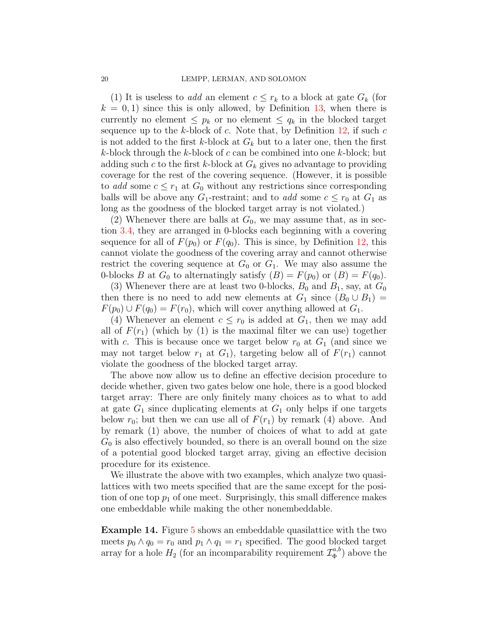(1) It is useless to add an element  $c \leq r_k$  to a block at gate  $G_k$  (for  $k = 0, 1$ ) since this is only allowed, by Definition [13,](#page-18-0) when there is currently no element  $\leq p_k$  or no element  $\leq q_k$  in the blocked target sequence up to the k-block of c. Note that, by Definition  $12$ , if such c is not added to the first k-block at  $G_k$  but to a later one, then the first  $k$ -block through the  $k$ -block of  $c$  can be combined into one  $k$ -block; but adding such c to the first k-block at  $G_k$  gives no advantage to providing coverage for the rest of the covering sequence. (However, it is possible to add some  $c \leq r_1$  at  $G_0$  without any restrictions since corresponding balls will be above any  $G_1$ -restraint; and to *add* some  $c \leq r_0$  at  $G_1$  as long as the goodness of the blocked target array is not violated.)

(2) Whenever there are balls at  $G_0$ , we may assume that, as in section [3.4,](#page-14-0) they are arranged in 0-blocks each beginning with a covering sequence for all of  $F(p_0)$  or  $F(q_0)$ . This is since, by Definition [12,](#page-17-0) this cannot violate the goodness of the covering array and cannot otherwise restrict the covering sequence at  $G_0$  or  $G_1$ . We may also assume the 0-blocks B at  $G_0$  to alternatingly satisfy  $(B) = F(p_0)$  or  $(B) = F(q_0)$ .

(3) Whenever there are at least two 0-blocks,  $B_0$  and  $B_1$ , say, at  $G_0$ then there is no need to add new elements at  $G_1$  since  $(B_0 \cup B_1)$  =  $F(p_0) \cup F(q_0) = F(r_0)$ , which will cover anything allowed at  $G_1$ .

(4) Whenever an element  $c \leq r_0$  is added at  $G_1$ , then we may add all of  $F(r_1)$  (which by (1) is the maximal filter we can use) together with c. This is because once we target below  $r_0$  at  $G_1$  (and since we may not target below  $r_1$  at  $G_1$ ), targeting below all of  $F(r_1)$  cannot violate the goodness of the blocked target array.

The above now allow us to define an effective decision procedure to decide whether, given two gates below one hole, there is a good blocked target array: There are only finitely many choices as to what to add at gate  $G_1$  since duplicating elements at  $G_1$  only helps if one targets below  $r_0$ ; but then we can use all of  $F(r_1)$  by remark (4) above. And by remark (1) above, the number of choices of what to add at gate  $G_0$  is also effectively bounded, so there is an overall bound on the size of a potential good blocked target array, giving an effective decision procedure for its existence.

We illustrate the above with two examples, which analyze two quasilattices with two meets specified that are the same except for the position of one top  $p_1$  of one meet. Surprisingly, this small difference makes one embeddable while making the other nonembeddable.

Example 14. Figure [5](#page-20-0) shows an embeddable quasilattice with the two meets  $p_0 \wedge q_0 = r_0$  and  $p_1 \wedge q_1 = r_1$  specified. The good blocked target array for a hole  $H_2$  (for an incomparability requirement  $\mathcal{I}_{\Phi}^{a,b}$  $\binom{a, b}{\Phi}$  above the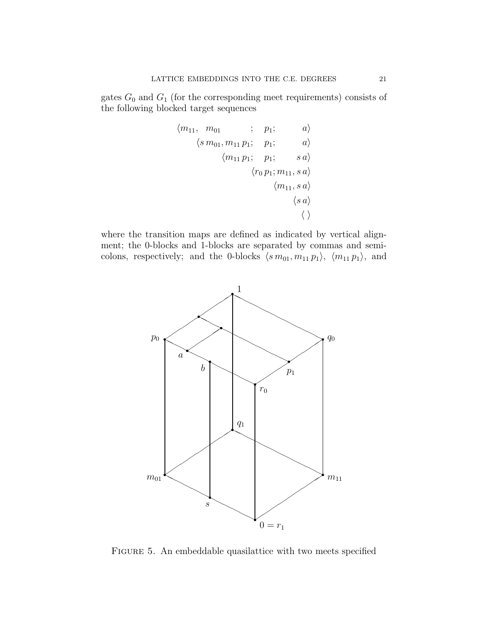gates  $G_0$  and  $G_1$  (for the corresponding meet requirements) consists of the following blocked target sequences

$$
\begin{array}{ccc} \langle m_{11},&m_{01}&;&p_1;&&a\rangle\\ &\langle\,m_{01},m_{11}\,p_1;&p_1;&&a\rangle\\ &&\langle m_{11}\,p_1;&p_1;&&sa\rangle\\ &&\langle r_0\,p_1;m_{11},s\,a\rangle\\ &&\langle n_{11},s\,a\rangle\\ &&\langle\,s\,a\rangle\\ \end{array}
$$

where the transition maps are defined as indicated by vertical alignment; the 0-blocks and 1-blocks are separated by commas and semicolons, respectively; and the 0-blocks  $\langle s \, m_{01}, m_{11} \, p_1 \rangle$ ,  $\langle m_{11} \, p_1 \rangle$ , and



<span id="page-20-0"></span>FIGURE 5. An embeddable quasilattice with two meets specified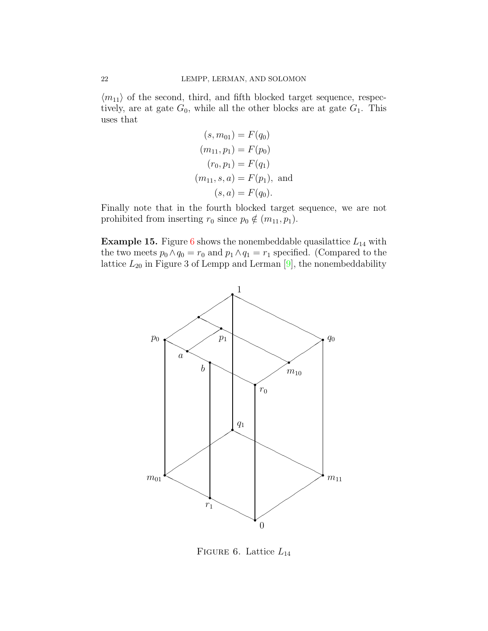$\langle m_{11} \rangle$  of the second, third, and fifth blocked target sequence, respectively, are at gate  $G_0$ , while all the other blocks are at gate  $G_1$ . This uses that

$$
(s, m_{01}) = F(q_0)
$$
  
\n
$$
(m_{11}, p_1) = F(p_0)
$$
  
\n
$$
(r_0, p_1) = F(q_1)
$$
  
\n
$$
(m_{11}, s, a) = F(p_1), \text{ and}
$$
  
\n
$$
(s, a) = F(q_0).
$$

Finally note that in the fourth blocked target sequence, we are not prohibited from inserting  $r_0$  since  $p_0 \notin (m_{11}, p_1)$ .

**Example 15.** Figure [6](#page-21-0) shows the nonembeddable quasilattice  $L_{14}$  with the two meets  $p_0 \wedge q_0 = r_0$  and  $p_1 \wedge q_1 = r_1$  specified. (Compared to the lattice  $L_{20}$  in Figure 3 of Lempp and Lerman [\[9\]](#page-24-9), the nonembeddability



<span id="page-21-0"></span>FIGURE 6. Lattice  $L_{14}$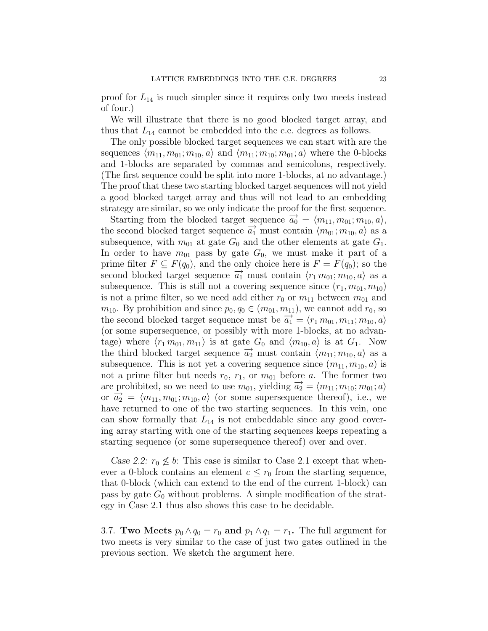proof for  $L_{14}$  is much simpler since it requires only two meets instead of four.)

We will illustrate that there is no good blocked target array, and thus that  $L_{14}$  cannot be embedded into the c.e. degrees as follows.

The only possible blocked target sequences we can start with are the sequences  $\langle m_{11}, m_{01}; m_{10}, a \rangle$  and  $\langle m_{11}; m_{10}; m_{01}; a \rangle$  where the 0-blocks and 1-blocks are separated by commas and semicolons, respectively. (The first sequence could be split into more 1-blocks, at no advantage.) The proof that these two starting blocked target sequences will not yield a good blocked target array and thus will not lead to an embedding strategy are similar, so we only indicate the proof for the first sequence.

Starting from the blocked target sequence  $\vec{a}_0 = \langle m_{11}, m_{01}; m_{10}, a \rangle$ , the second blocked target sequence  $\overrightarrow{a_1}$  must contain  $\langle m_{01}; m_{10}, a \rangle$  as a subsequence, with  $m_{01}$  at gate  $G_0$  and the other elements at gate  $G_1$ . In order to have  $m_{01}$  pass by gate  $G_0$ , we must make it part of a prime filter  $F \subseteq F(q_0)$ , and the only choice here is  $F = F(q_0)$ ; so the second blocked target sequence  $\overrightarrow{a_1}$  must contain  $\langle r_1 m_{01}; m_{10}, a \rangle$  as a subsequence. This is still not a covering sequence since  $(r_1, m_{01}, m_{10})$ is not a prime filter, so we need add either  $r_0$  or  $m_{11}$  between  $m_{01}$  and  $m_{10}$ . By prohibition and since  $p_0, q_0 \in (m_{01}, m_{11})$ , we cannot add  $r_0$ , so the second blocked target sequence must be  $\overrightarrow{a_1} = \langle r_1 m_{01}, m_{11}; m_{10}, a \rangle$ (or some supersequence, or possibly with more 1-blocks, at no advantage) where  $\langle r_1 m_{01}, m_{11} \rangle$  is at gate  $G_0$  and  $\langle m_{10}, a \rangle$  is at  $G_1$ . Now the third blocked target sequence  $\vec{a}_2$  must contain  $\langle m_{11}; m_{10}, a \rangle$  as a subsequence. This is not yet a covering sequence since  $(m_{11}, m_{10}, a)$  is not a prime filter but needs  $r_0$ ,  $r_1$ , or  $m_{01}$  before a. The former two are prohibited, so we need to use  $m_{01}$ , yielding  $\overrightarrow{a_2} = \langle m_{11}; m_{10}; m_{01}; a \rangle$ or  $\vec{a_2} = \langle m_{11}, m_{01}; m_{10}, a \rangle$  (or some supersequence thereof), i.e., we have returned to one of the two starting sequences. In this vein, one can show formally that  $L_{14}$  is not embeddable since any good covering array starting with one of the starting sequences keeps repeating a starting sequence (or some supersequence thereof) over and over.

Case 2.2:  $r_0 \nleq b$ : This case is similar to Case 2.1 except that whenever a 0-block contains an element  $c \leq r_0$  from the starting sequence, that 0-block (which can extend to the end of the current 1-block) can pass by gate  $G_0$  without problems. A simple modification of the strategy in Case 2.1 thus also shows this case to be decidable.

<span id="page-22-0"></span>3.7. **Two Meets**  $p_0 \wedge q_0 = r_0$  and  $p_1 \wedge q_1 = r_1$ . The full argument for two meets is very similar to the case of just two gates outlined in the previous section. We sketch the argument here.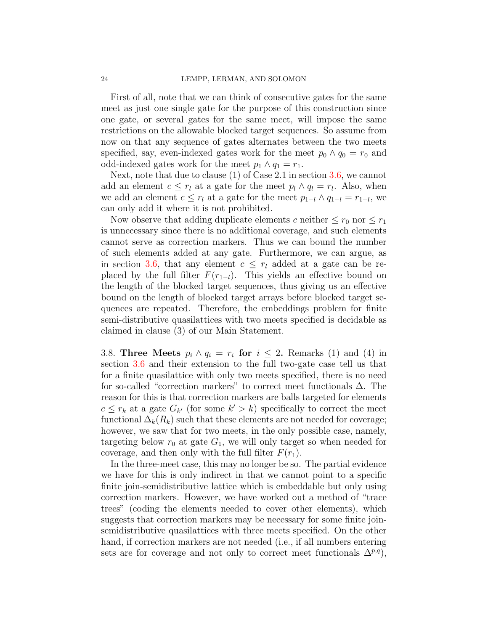First of all, note that we can think of consecutive gates for the same meet as just one single gate for the purpose of this construction since one gate, or several gates for the same meet, will impose the same restrictions on the allowable blocked target sequences. So assume from now on that any sequence of gates alternates between the two meets specified, say, even-indexed gates work for the meet  $p_0 \wedge q_0 = r_0$  and odd-indexed gates work for the meet  $p_1 \wedge q_1 = r_1$ .

Next, note that due to clause  $(1)$  of Case 2.1 in section [3.6,](#page-18-1) we cannot add an element  $c \leq r_l$  at a gate for the meet  $p_l \wedge q_l = r_l$ . Also, when we add an element  $c \leq r_l$  at a gate for the meet  $p_{1-l} \wedge q_{1-l} = r_{1-l}$ , we can only add it where it is not prohibited.

Now observe that adding duplicate elements c neither  $\leq r_0$  nor  $\leq r_1$ is unnecessary since there is no additional coverage, and such elements cannot serve as correction markers. Thus we can bound the number of such elements added at any gate. Furthermore, we can argue, as in section [3.6,](#page-18-1) that any element  $c \leq r_l$  added at a gate can be replaced by the full filter  $F(r_{1-l})$ . This yields an effective bound on the length of the blocked target sequences, thus giving us an effective bound on the length of blocked target arrays before blocked target sequences are repeated. Therefore, the embeddings problem for finite semi-distributive quasilattices with two meets specified is decidable as claimed in clause (3) of our Main Statement.

<span id="page-23-0"></span>3.8. Three Meets  $p_i \wedge q_i = r_i$  for  $i \leq 2$ . Remarks (1) and (4) in section [3.6](#page-18-1) and their extension to the full two-gate case tell us that for a finite quasilattice with only two meets specified, there is no need for so-called "correction markers" to correct meet functionals  $\Delta$ . The reason for this is that correction markers are balls targeted for elements  $c \leq r_k$  at a gate  $G_{k'}$  (for some  $k' > k$ ) specifically to correct the meet functional  $\Delta_k(R_k)$  such that these elements are not needed for coverage; however, we saw that for two meets, in the only possible case, namely, targeting below  $r_0$  at gate  $G_1$ , we will only target so when needed for coverage, and then only with the full filter  $F(r_1)$ .

In the three-meet case, this may no longer be so. The partial evidence we have for this is only indirect in that we cannot point to a specific finite join-semidistributive lattice which is embeddable but only using correction markers. However, we have worked out a method of "trace trees" (coding the elements needed to cover other elements), which suggests that correction markers may be necessary for some finite joinsemidistributive quasilattices with three meets specified. On the other hand, if correction markers are not needed (i.e., if all numbers entering sets are for coverage and not only to correct meet functionals  $\Delta^{p,q}$ ,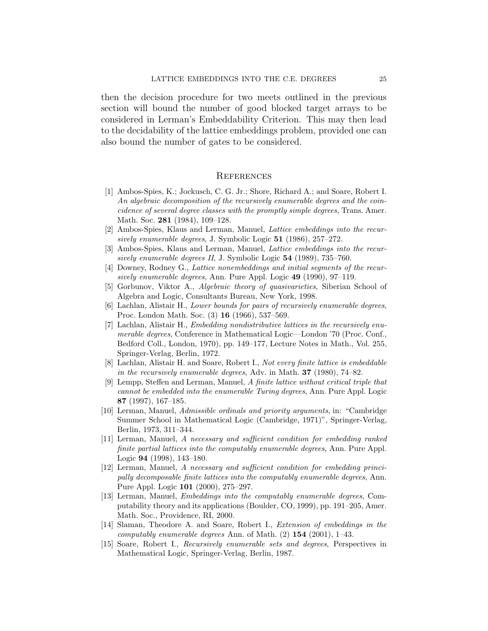then the decision procedure for two meets outlined in the previous section will bound the number of good blocked target arrays to be considered in Lerman's Embeddability Criterion. This may then lead to the decidability of the lattice embeddings problem, provided one can also bound the number of gates to be considered.

#### **REFERENCES**

- <span id="page-24-1"></span>[1] Ambos-Spies, K.; Jockusch, C. G. Jr.; Shore, Richard A.; and Soare, Robert I. An algebraic decomposition of the recursively enumerable degrees and the coincidence of several degree classes with the promptly simple degrees, Trans. Amer. Math. Soc. 281 (1984), 109–128.
- <span id="page-24-5"></span>[2] Ambos-Spies, Klaus and Lerman, Manuel, Lattice embeddings into the recursively enumerable degrees, J. Symbolic Logic 51 (1986), 257–272.
- <span id="page-24-6"></span>[3] Ambos-Spies, Klaus and Lerman, Manuel, Lattice embeddings into the recursively enumerable degrees II, J. Symbolic Logic 54 (1989), 735–760.
- <span id="page-24-8"></span>[4] Downey, Rodney G., Lattice nonembeddings and initial segments of the recursively enumerable degrees, Ann. Pure Appl. Logic 49 (1990), 97–119.
- <span id="page-24-7"></span>[5] Gorbunov, Viktor A., Algebraic theory of quasivarieties, Siberian School of Algebra and Logic, Consultants Bureau, New York, 1998.
- <span id="page-24-2"></span>[6] Lachlan, Alistair H., Lower bounds for pairs of recursively enumerable degrees, Proc. London Math. Soc. (3) 16 (1966), 537–569.
- <span id="page-24-3"></span>[7] Lachlan, Alistair H., Embedding nondistributive lattices in the recursively enumerable degrees, Conference in Mathematical Logic—London '70 (Proc. Conf., Bedford Coll., London, 1970), pp. 149–177, Lecture Notes in Math., Vol. 255, Springer-Verlag, Berlin, 1972.
- <span id="page-24-4"></span>[8] Lachlan, Alistair H. and Soare, Robert I., Not every finite lattice is embeddable in the recursively enumerable degrees, Adv. in Math. 37 (1980), 74–82.
- <span id="page-24-9"></span>[9] Lempp, Steffen and Lerman, Manuel, A finite lattice without critical triple that cannot be embedded into the enumerable Turing degrees, Ann. Pure Appl. Logic 87 (1997), 167–185.
- <span id="page-24-12"></span>[10] Lerman, Manuel, Admissible ordinals and priority arguments, in: "Cambridge Summer School in Mathematical Logic (Cambridge, 1971)", Springer-Verlag, Berlin, 1973, 311–344.
- <span id="page-24-10"></span>[11] Lerman, Manuel, A necessary and sufficient condition for embedding ranked finite partial lattices into the computably enumerable degrees, Ann. Pure Appl. Logic 94 (1998), 143–180.
- <span id="page-24-11"></span>[12] Lerman, Manuel, A necessary and sufficient condition for embedding principally decomposable finite lattices into the computably enumerable degrees, Ann. Pure Appl. Logic 101 (2000), 275–297.
- [13] Lerman, Manuel, Embeddings into the computably enumerable degrees, Computability theory and its applications (Boulder, CO, 1999), pp. 191–205, Amer. Math. Soc., Providence, RI, 2000.
- <span id="page-24-0"></span>[14] Slaman, Theodore A. and Soare, Robert I., Extension of embeddings in the computably enumerable degrees Ann. of Math.  $(2)$  154  $(2001)$ , 1–43.
- <span id="page-24-13"></span>[15] Soare, Robert I., Recursively enumerable sets and degrees, Perspectives in Mathematical Logic, Springer-Verlag, Berlin, 1987.